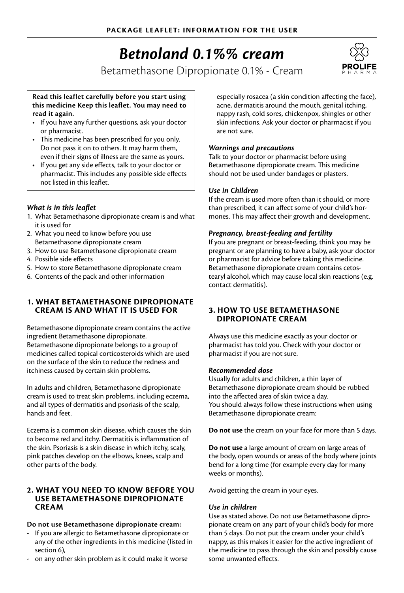# *Betnoland 0.1%% cream*

Betamethasone Dipropionate 0.1% - Cream



#### **Read this leaflet carefully before you start using this medicine Keep this leaflet. You may need to read it again.**

- If you have any further questions, ask your doctor or pharmacist.
- This medicine has been prescribed for you only. Do not pass it on to others. It may harm them, even if their signs of illness are the same as yours.
- If you get any side effects, talk to your doctor or pharmacist. This includes any possible side effects not listed in this leaflet.

# *What is in this leaflet*

- 1. What Betamethasone dipropionate cream is and what it is used for
- 2. What you need to know before you use Betamethasone dipropionate cream
- 3. How to use Betamethasone dipropionate cream
- 4. Possible side effects
- 5. How to store Betamethasone dipropionate cream
- 6. Contents of the pack and other information

# **1. WHAT BETAMETHASONE DIPROPIONATE CREAM IS AND WHAT IT IS USED FOR**

Betamethasone dipropionate cream contains the active ingredient Betamethasone dipropionate. Betamethasone dipropionate belongs to a group of medicines called topical corticosteroids which are used on the surface of the skin to reduce the redness and itchiness caused by certain skin problems.

In adults and children, Betamethasone dipropionate cream is used to treat skin problems, including eczema, and all types of dermatitis and psoriasis of the scalp, hands and feet.

Eczema is a common skin disease, which causes the skin to become red and itchy. Dermatitis is inflammation of the skin. Psoriasis is a skin disease in which itchy, scaly, pink patches develop on the elbows, knees, scalp and other parts of the body.

### **2. WHAT YOU NEED TO KNOW BEFORE YOU USE BETAMETHASONE DIPROPIONATE CREAM**

#### **Do not use Betamethasone dipropionate cream:**

- If you are allergic to Betamethasone dipropionate or any of the other ingredients in this medicine (listed in section 6).
- on any other skin problem as it could make it worse

especially rosacea (a skin condition affecting the face), acne, dermatitis around the mouth, genital itching, nappy rash, cold sores, chickenpox, shingles or other skin infections. Ask your doctor or pharmacist if you are not sure.

### *Warnings and precautions*

Talk to your doctor or pharmacist before using Betamethasone dipropionate cream. This medicine should not be used under bandages or plasters.

#### *Use in Children*

If the cream is used more often than it should, or more than prescribed, it can affect some of your child's hormones. This may affect their growth and development.

#### *Pregnancy, breast-feeding and fertility*

If you are pregnant or breast-feeding, think you may be pregnant or are planning to have a baby, ask your doctor or pharmacist for advice before taking this medicine. Betamethasone dipropionate cream contains cetostearyl alcohol, which may cause local skin reactions (e.g. contact dermatitis).

#### **3. HOW TO USE BETAMETHASONE DIPROPIONATE CREAM**

Always use this medicine exactly as your doctor or pharmacist has told you. Check with your doctor or pharmacist if you are not sure.

# *Recommended dose*

Usually for adults and children, a thin layer of Betamethasone dipropionate cream should be rubbed into the affected area of skin twice a day. You should always follow these instructions when using Betamethasone dipropionate cream:

**Do not use** the cream on your face for more than 5 days.

**Do not use** a large amount of cream on large areas of the body, open wounds or areas of the body where joints bend for a long time (for example every day for many weeks or months).

Avoid getting the cream in your eyes.

# *Use in children*

Use as stated above. Do not use Betamethasone dipropionate cream on any part of your child's body for more than 5 days. Do not put the cream under your child's nappy, as this makes it easier for the active ingredient of the medicine to pass through the skin and possibly cause some unwanted effects.